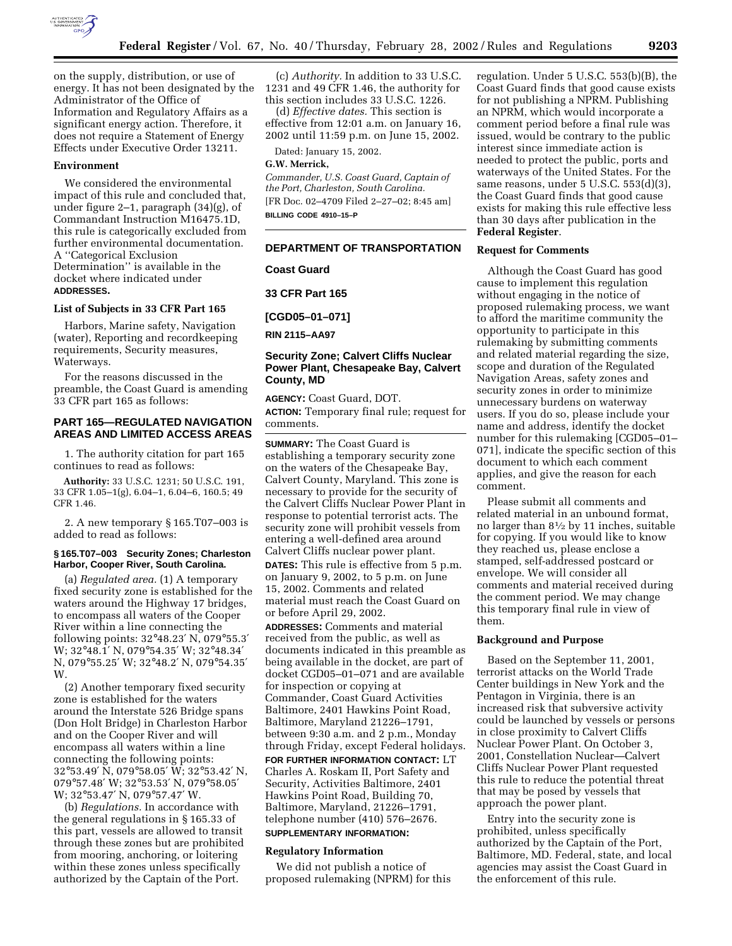

on the supply, distribution, or use of energy. It has not been designated by the Administrator of the Office of Information and Regulatory Affairs as a significant energy action. Therefore, it does not require a Statement of Energy Effects under Executive Order 13211.

#### **Environment**

We considered the environmental impact of this rule and concluded that, under figure 2–1, paragraph (34)(g), of Commandant Instruction M16475.1D, this rule is categorically excluded from further environmental documentation. A ''Categorical Exclusion Determination'' is available in the docket where indicated under **ADDRESSES.**

#### **List of Subjects in 33 CFR Part 165**

Harbors, Marine safety, Navigation (water), Reporting and recordkeeping requirements, Security measures, Waterways.

For the reasons discussed in the preamble, the Coast Guard is amending 33 CFR part 165 as follows:

# **PART 165—REGULATED NAVIGATION AREAS AND LIMITED ACCESS AREAS**

1. The authority citation for part 165 continues to read as follows:

**Authority:** 33 U.S.C. 1231; 50 U.S.C. 191, 33 CFR 1.05–1(g), 6.04–1, 6.04–6, 160.5; 49 CFR 1.46.

2. A new temporary § 165.T07–003 is added to read as follows:

#### **§ 165.T07–003 Security Zones; Charleston Harbor, Cooper River, South Carolina.**

(a) *Regulated area.* (1) A temporary fixed security zone is established for the waters around the Highway 17 bridges, to encompass all waters of the Cooper River within a line connecting the following points: 32°48.23′ N, 079°55.3′ W; 32°48.1′ N, 079°54.35′ W; 32°48.34′ N, 079°55.25′ W; 32°48.2′ N, 079°54.35′ W<sub>.</sub>

(2) Another temporary fixed security zone is established for the waters around the Interstate 526 Bridge spans (Don Holt Bridge) in Charleston Harbor and on the Cooper River and will encompass all waters within a line connecting the following points: 32°53.49′ N, 079°58.05′ W; 32°53.42′ N, 079°57.48′ W; 32°53.53′ N, 079°58.05′ W; 32°53.47′ N, 079°57.47′ W.

(b) *Regulations.* In accordance with the general regulations in § 165.33 of this part, vessels are allowed to transit through these zones but are prohibited from mooring, anchoring, or loitering within these zones unless specifically authorized by the Captain of the Port.

(c) *Authority.* In addition to 33 U.S.C. 1231 and 49 CFR 1.46, the authority for this section includes 33 U.S.C. 1226.

(d) *Effective dates.* This section is effective from 12:01 a.m. on January 16, 2002 until 11:59 p.m. on June 15, 2002.

Dated: January 15, 2002.

### **G.W. Merrick,**

*Commander, U.S. Coast Guard, Captain of the Port, Charleston, South Carolina.* [FR Doc. 02–4709 Filed 2–27–02; 8:45 am] **BILLING CODE 4910–15–P**

# **DEPARTMENT OF TRANSPORTATION**

#### **Coast Guard**

**33 CFR Part 165**

**[CGD05–01–071]**

**RIN 2115–AA97**

# **Security Zone; Calvert Cliffs Nuclear Power Plant, Chesapeake Bay, Calvert County, MD**

**AGENCY:** Coast Guard, DOT. **ACTION:** Temporary final rule; request for comments.

**SUMMARY:** The Coast Guard is establishing a temporary security zone on the waters of the Chesapeake Bay, Calvert County, Maryland. This zone is necessary to provide for the security of the Calvert Cliffs Nuclear Power Plant in response to potential terrorist acts. The security zone will prohibit vessels from entering a well-defined area around Calvert Cliffs nuclear power plant.

**DATES:** This rule is effective from 5 p.m. on January 9, 2002, to 5 p.m. on June 15, 2002. Comments and related material must reach the Coast Guard on or before April 29, 2002.

**ADDRESSES:** Comments and material received from the public, as well as documents indicated in this preamble as being available in the docket, are part of docket CGD05–01–071 and are available for inspection or copying at Commander, Coast Guard Activities Baltimore, 2401 Hawkins Point Road, Baltimore, Maryland 21226–1791, between 9:30 a.m. and 2 p.m., Monday through Friday, except Federal holidays. **FOR FURTHER INFORMATION CONTACT:** LT Charles A. Roskam II, Port Safety and Security, Activities Baltimore, 2401 Hawkins Point Road, Building 70, Baltimore, Maryland, 21226–1791, telephone number (410) 576–2676. **SUPPLEMENTARY INFORMATION:**

# **Regulatory Information**

We did not publish a notice of proposed rulemaking (NPRM) for this regulation. Under 5 U.S.C. 553(b)(B), the Coast Guard finds that good cause exists for not publishing a NPRM. Publishing an NPRM, which would incorporate a comment period before a final rule was issued, would be contrary to the public interest since immediate action is needed to protect the public, ports and waterways of the United States. For the same reasons, under 5 U.S.C. 553(d)(3), the Coast Guard finds that good cause exists for making this rule effective less than 30 days after publication in the **Federal Register**.

#### **Request for Comments**

Although the Coast Guard has good cause to implement this regulation without engaging in the notice of proposed rulemaking process, we want to afford the maritime community the opportunity to participate in this rulemaking by submitting comments and related material regarding the size, scope and duration of the Regulated Navigation Areas, safety zones and security zones in order to minimize unnecessary burdens on waterway users. If you do so, please include your name and address, identify the docket number for this rulemaking [CGD05–01– 071], indicate the specific section of this document to which each comment applies, and give the reason for each comment.

Please submit all comments and related material in an unbound format, no larger than 81⁄2 by 11 inches, suitable for copying. If you would like to know they reached us, please enclose a stamped, self-addressed postcard or envelope. We will consider all comments and material received during the comment period. We may change this temporary final rule in view of them.

#### **Background and Purpose**

Based on the September 11, 2001, terrorist attacks on the World Trade Center buildings in New York and the Pentagon in Virginia, there is an increased risk that subversive activity could be launched by vessels or persons in close proximity to Calvert Cliffs Nuclear Power Plant. On October 3, 2001, Constellation Nuclear—Calvert Cliffs Nuclear Power Plant requested this rule to reduce the potential threat that may be posed by vessels that approach the power plant.

Entry into the security zone is prohibited, unless specifically authorized by the Captain of the Port, Baltimore, MD. Federal, state, and local agencies may assist the Coast Guard in the enforcement of this rule.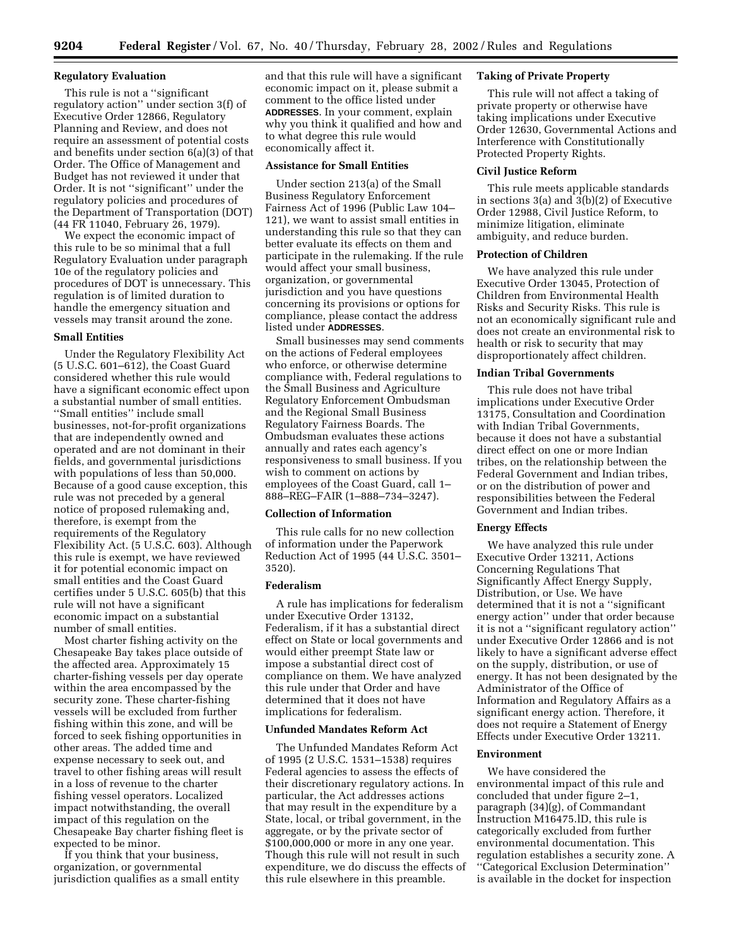#### **Regulatory Evaluation**

This rule is not a ''significant regulatory action'' under section 3(f) of Executive Order 12866, Regulatory Planning and Review, and does not require an assessment of potential costs and benefits under section 6(a)(3) of that Order. The Office of Management and Budget has not reviewed it under that Order. It is not ''significant'' under the regulatory policies and procedures of the Department of Transportation (DOT) (44 FR 11040, February 26, 1979).

We expect the economic impact of this rule to be so minimal that a full Regulatory Evaluation under paragraph 10e of the regulatory policies and procedures of DOT is unnecessary. This regulation is of limited duration to handle the emergency situation and vessels may transit around the zone.

#### **Small Entities**

Under the Regulatory Flexibility Act (5 U.S.C. 601–612), the Coast Guard considered whether this rule would have a significant economic effect upon a substantial number of small entities. ''Small entities'' include small businesses, not-for-profit organizations that are independently owned and operated and are not dominant in their fields, and governmental jurisdictions with populations of less than 50,000. Because of a good cause exception, this rule was not preceded by a general notice of proposed rulemaking and, therefore, is exempt from the requirements of the Regulatory Flexibility Act. (5 U.S.C. 603). Although this rule is exempt, we have reviewed it for potential economic impact on small entities and the Coast Guard certifies under 5 U.S.C. 605(b) that this rule will not have a significant economic impact on a substantial number of small entities.

Most charter fishing activity on the Chesapeake Bay takes place outside of the affected area. Approximately 15 charter-fishing vessels per day operate within the area encompassed by the security zone. These charter-fishing vessels will be excluded from further fishing within this zone, and will be forced to seek fishing opportunities in other areas. The added time and expense necessary to seek out, and travel to other fishing areas will result in a loss of revenue to the charter fishing vessel operators. Localized impact notwithstanding, the overall impact of this regulation on the Chesapeake Bay charter fishing fleet is expected to be minor.

If you think that your business, organization, or governmental jurisdiction qualifies as a small entity

and that this rule will have a significant economic impact on it, please submit a comment to the office listed under **ADDRESSES**. In your comment, explain why you think it qualified and how and to what degree this rule would economically affect it.

# **Assistance for Small Entities**

Under section 213(a) of the Small Business Regulatory Enforcement Fairness Act of 1996 (Public Law 104– 121), we want to assist small entities in understanding this rule so that they can better evaluate its effects on them and participate in the rulemaking. If the rule would affect your small business, organization, or governmental jurisdiction and you have questions concerning its provisions or options for compliance, please contact the address listed under **ADDRESSES**.

Small businesses may send comments on the actions of Federal employees who enforce, or otherwise determine compliance with, Federal regulations to the Small Business and Agriculture Regulatory Enforcement Ombudsman and the Regional Small Business Regulatory Fairness Boards. The Ombudsman evaluates these actions annually and rates each agency's responsiveness to small business. If you wish to comment on actions by employees of the Coast Guard, call 1– 888–REG–FAIR (1–888–734–3247).

#### **Collection of Information**

This rule calls for no new collection of information under the Paperwork Reduction Act of 1995 (44 U.S.C. 3501– 3520).

#### **Federalism**

A rule has implications for federalism under Executive Order 13132, Federalism, if it has a substantial direct effect on State or local governments and would either preempt State law or impose a substantial direct cost of compliance on them. We have analyzed this rule under that Order and have determined that it does not have implications for federalism.

### **Unfunded Mandates Reform Act**

The Unfunded Mandates Reform Act of 1995 (2 U.S.C. 1531–1538) requires Federal agencies to assess the effects of their discretionary regulatory actions. In particular, the Act addresses actions that may result in the expenditure by a State, local, or tribal government, in the aggregate, or by the private sector of \$100,000,000 or more in any one year. Though this rule will not result in such expenditure, we do discuss the effects of this rule elsewhere in this preamble.

### **Taking of Private Property**

This rule will not affect a taking of private property or otherwise have taking implications under Executive Order 12630, Governmental Actions and Interference with Constitutionally Protected Property Rights.

### **Civil Justice Reform**

This rule meets applicable standards in sections 3(a) and 3(b)(2) of Executive Order 12988, Civil Justice Reform, to minimize litigation, eliminate ambiguity, and reduce burden.

### **Protection of Children**

We have analyzed this rule under Executive Order 13045, Protection of Children from Environmental Health Risks and Security Risks. This rule is not an economically significant rule and does not create an environmental risk to health or risk to security that may disproportionately affect children.

# **Indian Tribal Governments**

This rule does not have tribal implications under Executive Order 13175, Consultation and Coordination with Indian Tribal Governments, because it does not have a substantial direct effect on one or more Indian tribes, on the relationship between the Federal Government and Indian tribes, or on the distribution of power and responsibilities between the Federal Government and Indian tribes.

# **Energy Effects**

We have analyzed this rule under Executive Order 13211, Actions Concerning Regulations That Significantly Affect Energy Supply, Distribution, or Use. We have determined that it is not a ''significant energy action'' under that order because it is not a ''significant regulatory action'' under Executive Order 12866 and is not likely to have a significant adverse effect on the supply, distribution, or use of energy. It has not been designated by the Administrator of the Office of Information and Regulatory Affairs as a significant energy action. Therefore, it does not require a Statement of Energy Effects under Executive Order 13211.

# **Environment**

We have considered the environmental impact of this rule and concluded that under figure 2–1, paragraph (34)(g), of Commandant Instruction M16475.lD, this rule is categorically excluded from further environmental documentation. This regulation establishes a security zone. A ''Categorical Exclusion Determination'' is available in the docket for inspection